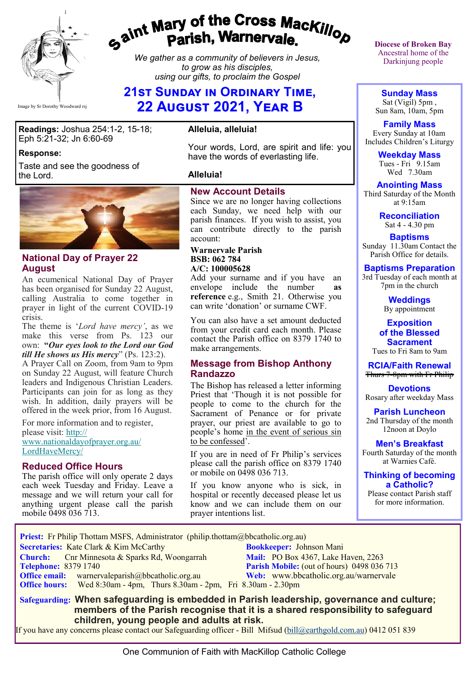

# gaint Mary of the Cross Mackillop<br>g<sup>aint</sup> Parish, Warnervale.

*We gather as a community of believers in Jesus, to grow as his disciples, using our gifts, to proclaim the Gospel*

# **21st Sunday in Ordinary Time, 22 August 2021, Year B**

**Readings:** Joshua 254:1-2, 15-18; Eph 5:21-32; Jn 6:60-69

#### **Response:**

Taste and see the goodness of the Lord.



#### **National Day of Prayer 22 August**

An ecumenical National Day of Prayer has been organised for Sunday 22 August, calling Australia to come together in prayer in light of the current COVID-19 crisis.

The theme is '*Lord have mercy'*, as we make this verse from Ps. 123 our own: **"***Our eyes look to the Lord our God till He shows us His mercy*" (Ps. 123:2).

A Prayer Call on Zoom, from 9am to 9pm on Sunday 22 August, will feature Church leaders and Indigenous Christian Leaders. Participants can join for as long as they wish. In addition, daily prayers will be offered in the week prior, from 16 August.

For more information and to register, please visit: [http://](https://bbcatholic.us8.list-manage.com/track/click?u=466af249e088db70ab864d088&id=8dc536168e&e=e312df0f80) [www.nationaldayofprayer.org.au/](https://bbcatholic.us8.list-manage.com/track/click?u=466af249e088db70ab864d088&id=8dc536168e&e=e312df0f80) [LordHaveMercy/](https://bbcatholic.us8.list-manage.com/track/click?u=466af249e088db70ab864d088&id=8dc536168e&e=e312df0f80)

### **Reduced Office Hours**

The parish office will only operate 2 days each week Tuesday and Friday. Leave a message and we will return your call for anything urgent please call the parish mobile 0498 036 713.

#### **Alleluia, alleluia!**

Your words, Lord, are spirit and life: you have the words of everlasting life.

#### **Alleluia!**

#### **New Account Details**

Since we are no longer having collections each Sunday, we need help with our parish finances. If you wish to assist, you can contribute directly to the parish account:

#### **Warnervale Parish BSB: 062 784 A/C: 100005628**

Add your surname and if you have an envelope include the number **as reference** e.g., Smith 21. Otherwise you can write 'donation' or surname CWF.

You can also have a set amount deducted from your credit card each month. Please contact the Parish office on 8379 1740 to make arrangements.

#### **Message from Bishop Anthony Randazzo**

The Bishop has released a letter informing Priest that 'Though it is not possible for people to come to the church for the Sacrament of Penance or for private prayer, our priest are available to go to people's home in the event of serious sin to be confessed'.

If you are in need of Fr Philip's services please call the parish office on 8379 1740 or mobile on 0498 036 713.

If you know anyone who is sick, in hospital or recently deceased please let us know and we can include them on our prayer intentions list.

**Diocese of Broken Bay**  Ancestral home of the Darkinjung people

**Sunday Mass** Sat (Vigil) 5pm , Sun 8am, 10am, 5pm

**Family Mass**  Every Sunday at 10am Includes Children's Liturgy

> **Weekday Mass** Tues - Fri 9.15am Wed 7.30am

**Anointing Mass** Third Saturday of the Month at 9:15am

> **Reconciliation** Sat 4 - 4.30 pm

**Baptisms** Sunday 11.30am Contact the Parish Office for details.

#### **Baptisms Preparation**

3rd Tuesday of each month at 7pm in the church

> **Weddings**  By appointment

**Exposition of the Blessed Sacrament** Tues to Fri 8am to 9am

**RCIA/Faith Renewal**  Thurs 7-8pm with Fr Philip

**Devotions** Rosary after weekday Mass

**Parish Luncheon** 2nd Thursday of the month 12noon at Doylo

**Men's Breakfast** Fourth Saturday of the month at Warnies Café.

**Thinking of becoming a Catholic?**

Please contact Parish staff for more information.

 **Priest:** Fr Philip Thottam MSFS, Administrator (philip.thottam@bbcatholic.org.au)

**Secretaries:** Kate Clark & Kim McCarthy **Bookkeeper:** Johnson Mani

**Church:** Cnr Minnesota & Sparks Rd, Woongarrah **Mail: PO Box 4367, Lake Haven, 2263**<br> **Parish Mobile:** (out of hours) 0498 036 **Office email:** warnervaleparish@bbcatholic.org.au **Web:** [www.bbcatholic.org.au/warnervale](https://www.bbcatholic.org.au/warnervale)

**Parish Mobile:** (out of hours) 0498 036 713 **Office hours:** Wed 8:30am - 4pm, Thurs 8.30am - 2pm, Fri 8.30am - 2.30pm

 **Safeguarding: When safeguarding is embedded in Parish leadership, governance and culture; members of the Parish recognise that it is a shared responsibility to safeguard children, young people and adults at risk.**

If you have any concerns please contact our Safeguarding officer - Bill Mifsud ([bill@earthgold.com.au\)](mailto:bill@earthgold.com.au) 0412 051 839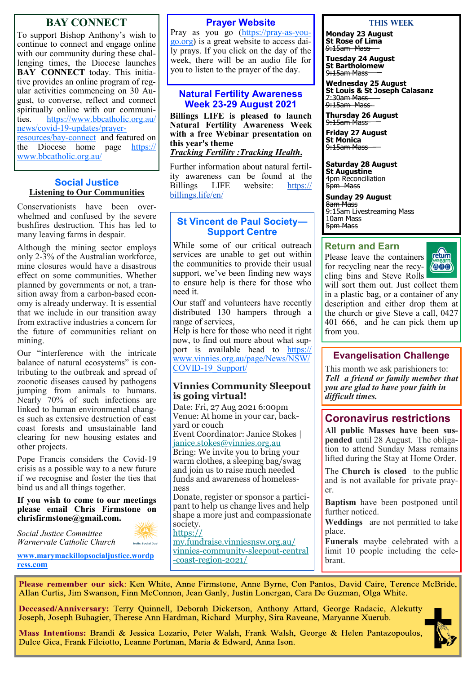## **BAY CONNECT**

To support Bishop Anthony's wish to continue to connect and engage online with our community during these challenging times, the Diocese launches **BAY CONNECT** today. This initiative provides an online program of regular activities commencing on 30 August, to converse, reflect and connect spiritually online with our communi-<br>ties. https://www.bbcatholic.org.au/ [https://www.bbcatholic.org.au/](https://www.bbcatholic.org.au/news/covid-19-updates/prayer-resources/bay-connect) news/covid-19-[updates/prayer](https://www.bbcatholic.org.au/news/covid-19-updates/prayer-resources/bay-connect)[resources/bay](https://www.bbcatholic.org.au/news/covid-19-updates/prayer-resources/bay-connect)-connect and featured on the Diocese home page [https://](https://www.bbcatholic.org.au/) [www.bbcatholic.org.au/](https://www.bbcatholic.org.au/)

#### **Social Justice Listening to Our Communities**

Conservationists have been overwhelmed and confused by the severe bushfires destruction. This has led to many leaving farms in despair.

Although the mining sector employs only 2-3% of the Australian workforce, mine closures would have a disastrous effect on some communities. Whether planned by governments or not, a transition away from a carbon-based economy is already underway. It is essential that we include in our transition away from extractive industries a concern for the future of communities reliant on mining.

Our "interference with the intricate balance of natural ecosystems" is contributing to the outbreak and spread of zoonotic diseases caused by pathogens jumping from animals to humans. Nearly 70% of such infections are linked to human environmental changes such as extensive destruction of east coast forests and unsustainable land clearing for new housing estates and other projects.

Pope Francis considers the Covid-19 crisis as a possible way to a new future if we recognise and foster the ties that bind us and all things together.

#### **If you wish to come to our meetings please email Chris Firmstone on chrisfirmstone@gmail.com.**

**holic Social Just** 

*Social Justice Committee Warnervale Catholic Church* 

**[www.marymackillopsocialjustice.wordp](http://www.marymackillopsocialjustice.wordpress.com) ress[.com](http://www.marymackillopsocialjustice.wordpress.com)**

#### **Prayer Website**

Pray as you go [\(https://pray](https://pray-as-you-go.org/)-as-you[go.org\)](https://pray-as-you-go.org/) is a great website to access daily prays. If you click on the day of the week, there will be an audio file for you to listen to the prayer of the day.

#### **Natural Fertility Awareness Week 23-29 August 2021**

**Billings LIFE is pleased to launch Natural Fertility Awareness Week with a free Webinar presentation on this year's theme**

*Tracking Fertility :Tracking Health***.**

Further information about natural fertility awareness can be found at the Billings LIFE website: https:// Billings LIFE website: [https://](https://billings.life/en/) [billings.life/en/](https://billings.life/en/)

#### **St Vincent de Paul Society— Support Centre**

While some of our critical outreach services are unable to get out within the communities to provide their usual support, we've been finding new ways to ensure help is there for those who need it.

Our staff and volunteers have recently distributed 130 hampers through a range of services,

Help is here for those who need it right now, to find out more about what support is available head to https: [www.vinnies.org.au/page/News/NSW/](https://www.vinnies.org.au/page/News/NSW/COVID-19_Support/) COVID-[19\\_Support/](https://www.vinnies.org.au/page/News/NSW/COVID-19_Support/)

#### **Vinnies Community Sleepout is going virtual!**

Date: Fri, 27 Aug 2021 6:00pm Venue: At home in your car, backyard or couch Event Coordinator: Janice Stokes | [janice.stokes@vinnies.org.au](mailto:janice.stokes@vinnies.org.au) Bring: We invite you to bring your warm clothes, a sleeping bag/swag and join us to raise much needed funds and awareness of homelessness Donate, register or sponsor a participant to help us change lives and help shape a more just and compassionate society. [https://](https://bbcatholic.us8.list-manage.com/track/click?u=466af249e088db70ab864d088&id=cc3d833943&e=e312df0f80) [my.fundraise.vinniesnsw.org.au/](https://bbcatholic.us8.list-manage.com/track/click?u=466af249e088db70ab864d088&id=cc3d833943&e=e312df0f80)

vinnies-[community](https://bbcatholic.us8.list-manage.com/track/click?u=466af249e088db70ab864d088&id=cc3d833943&e=e312df0f80)-sleepout-central -coast-[region](https://bbcatholic.us8.list-manage.com/track/click?u=466af249e088db70ab864d088&id=cc3d833943&e=e312df0f80)-2021/

#### **This Week**

**Monday 23 August St Rose of Lima** 9:15am Mass

**Tuesday 24 August St Bartholomew** 9:15am Mass

**Wednesday 25 August St Louis & St Joseph Calasanz** 7:30am Mass 9:15am Mass

**Thursday 26 August** 9:15am Mass

**Friday 27 August St Monica** 9:15am Mass

**Saturday 28 August St Augustine** 4pm Reconciliation 5pm Mass

**Sunday 29 August** 8am Mass 9:15am Livestreaming Mass 10am Mass 5pm Mass

#### **Return and Earn**

Please leave the containers for recycling near the recy-



cling bins and Steve Rolls will sort them out. Just collect them in a plastic bag, or a container of any description and either drop them at the church or give Steve a call, 0427 401 666, and he can pick them up from you.

### **Evangelisation Challenge**

This month we ask parishioners to: *Tell a friend or family member that you are glad to have your faith in difficult times.* 

## **Coronavirus restrictions**

**All public Masses have been suspended** until 28 August. The obligation to attend Sunday Mass remains lifted during the Stay at Home Order.

The **Church is closed** to the public and is not available for private prayer.

**Baptism** have been postponed until further noticed.

**Weddings** are not permitted to take place.

**Funerals** maybe celebrated with a limit 10 people including the celebrant.

Please remember our sick: Ken White, Anne Firmstone, Anne Byrne, Con Pantos, David Caire, Terence McBride, Allan Curtis, Jim Swanson, Finn McConnon, Jean Ganly, Justin Lonergan, Cara De Guzman, Olga White.

Deceased/Anniversary: Terry Quinnell, Deborah Dickerson, Anthony Attard, George Radacic, Alekutty Joseph, Joseph Buhagier, Therese Ann Hardman, Richard Murphy, Sira Raveane, Maryanne Xuerub.

Mass Intentions: Brandi & Jessica Lozario, Peter Walsh, Frank Walsh, George & Helen Pantazopoulos, Dulce Gica, Frank Filciotto, Leanne Portman, Maria & Edward, Anna Ison.

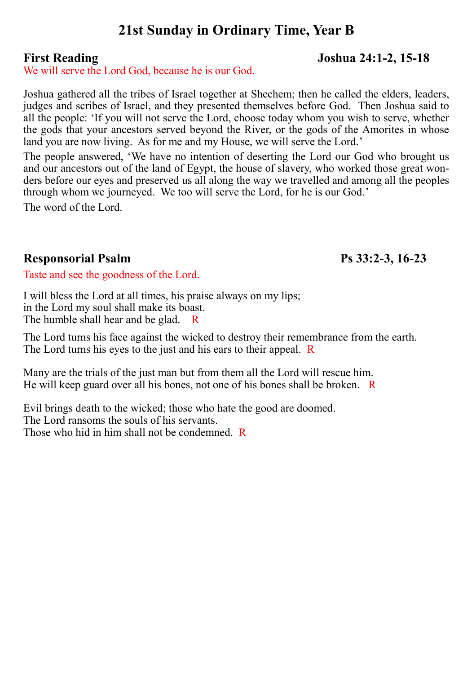# **21st Sunday in Ordinary Time, Year B**

We will serve the Lord God, because he is our God.

Joshua gathered all the tribes of Israel together at Shechem; then he called the elders, leaders, judges and scribes of Israel, and they presented themselves before God. Then Joshua said to all the people: 'If you will not serve the Lord, choose today whom you wish to serve, whether the gods that your ancestors served beyond the River, or the gods of the Amorites in whose land you are now living. As for me and my House, we will serve the Lord.'

The people answered, 'We have no intention of deserting the Lord our God who brought us and our ancestors out of the land of Egypt, the house of slavery, who worked those great wonders before our eyes and preserved us all along the way we travelled and among all the peoples through whom we journeyed. We too will serve the Lord, for he is our God.'

The word of the Lord.

# **Responsorial Psalm Ps 33:2-3, 16-23**

Taste and see the goodness of the Lord.

I will bless the Lord at all times, his praise always on my lips; in the Lord my soul shall make its boast. The humble shall hear and be glad. R

The Lord turns his face against the wicked to destroy their remembrance from the earth. The Lord turns his eyes to the just and his ears to their appeal. R

Many are the trials of the just man but from them all the Lord will rescue him. He will keep guard over all his bones, not one of his bones shall be broken. R

Evil brings death to the wicked; those who hate the good are doomed. The Lord ransoms the souls of his servants. Those who hid in him shall not be condemned. R

# **First Reading Joshua 24:1-2, 15-18**